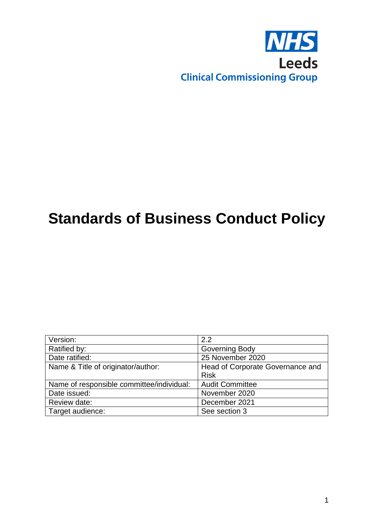

# **Standards of Business Conduct Policy**

| Version:                                  | 2.2                              |
|-------------------------------------------|----------------------------------|
| Ratified by:                              | Governing Body                   |
| Date ratified:                            | 25 November 2020                 |
| Name & Title of originator/author:        | Head of Corporate Governance and |
|                                           | <b>Risk</b>                      |
| Name of responsible committee/individual: | <b>Audit Committee</b>           |
| Date issued:                              | November 2020                    |
| Review date:                              | December 2021                    |
| Target audience:                          | See section 3                    |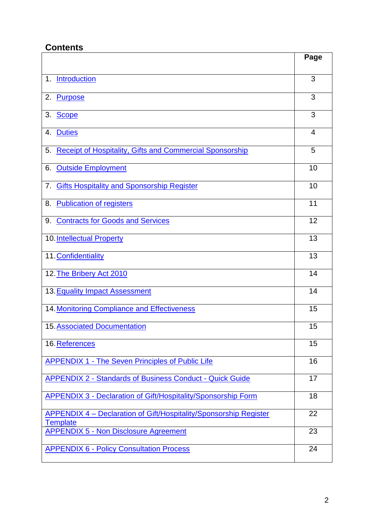## **Contents**

|                                                                                             | Page |
|---------------------------------------------------------------------------------------------|------|
| Introduction<br>1 <sub>1</sub>                                                              | 3    |
| Purpose<br>2.                                                                               | 3    |
| 3. Scope                                                                                    | 3    |
| <b>Duties</b><br>4.                                                                         | 4    |
| <b>Receipt of Hospitality, Gifts and Commercial Sponsorship</b><br>5.                       | 5    |
| <b>Outside Employment</b><br>6.                                                             | 10   |
| <b>Gifts Hospitality and Sponsorship Register</b><br>7.                                     | 10   |
| <b>Publication of registers</b><br>8.                                                       | 11   |
| <b>Contracts for Goods and Services</b><br>9.                                               | 12   |
| 10. Intellectual Property                                                                   | 13   |
| 11. Confidentiality                                                                         | 13   |
| 12. The Bribery Act 2010                                                                    | 14   |
| 13. Equality Impact Assessment                                                              | 14   |
| 14. Monitoring Compliance and Effectiveness                                                 | 15   |
| <b>15. Associated Documentation</b>                                                         | 15   |
| 16. References                                                                              | 15   |
| <b>APPENDIX 1 - The Seven Principles of Public Life</b>                                     | 16   |
| <b>APPENDIX 2 - Standards of Business Conduct - Quick Guide</b>                             | 17   |
| <b>APPENDIX 3 - Declaration of Gift/Hospitality/Sponsorship Form</b>                        | 18   |
| <b>APPENDIX 4 - Declaration of Gift/Hospitality/Sponsorship Register</b><br><b>Template</b> | 22   |
| <b>APPENDIX 5 - Non Disclosure Agreement</b>                                                | 23   |
| <b>APPENDIX 6 - Policy Consultation Process</b>                                             | 24   |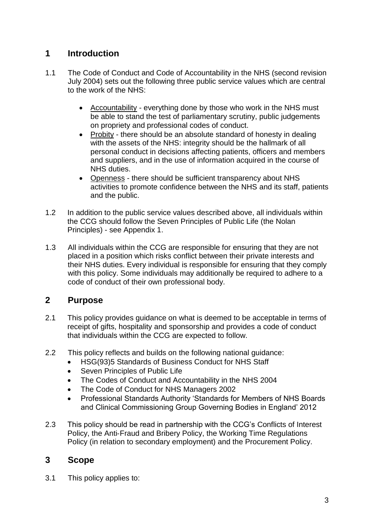## <span id="page-2-0"></span>**1 Introduction**

- 1.1 The Code of Conduct and Code of Accountability in the NHS (second revision July 2004) sets out the following three public service values which are central to the work of the NHS:
	- Accountability everything done by those who work in the NHS must be able to stand the test of parliamentary scrutiny, public judgements on propriety and professional codes of conduct.
	- Probity there should be an absolute standard of honesty in dealing with the assets of the NHS: integrity should be the hallmark of all personal conduct in decisions affecting patients, officers and members and suppliers, and in the use of information acquired in the course of NHS duties.
	- Openness there should be sufficient transparency about NHS activities to promote confidence between the NHS and its staff, patients and the public.
- 1.2 In addition to the public service values described above, all individuals within the CCG should follow the Seven Principles of Public Life (the Nolan Principles) - see Appendix 1.
- 1.3 All individuals within the CCG are responsible for ensuring that they are not placed in a position which risks conflict between their private interests and their NHS duties. Every individual is responsible for ensuring that they comply with this policy. Some individuals may additionally be required to adhere to a code of conduct of their own professional body.

## <span id="page-2-1"></span>**2 Purpose**

- 2.1 This policy provides guidance on what is deemed to be acceptable in terms of receipt of gifts, hospitality and sponsorship and provides a code of conduct that individuals within the CCG are expected to follow.
- 2.2 This policy reflects and builds on the following national guidance:
	- HSG(93)5 Standards of Business Conduct for NHS Staff
	- Seven Principles of Public Life
	- The Codes of Conduct and Accountability in the NHS 2004
	- The Code of Conduct for NHS Managers 2002
	- Professional Standards Authority 'Standards for Members of NHS Boards and Clinical Commissioning Group Governing Bodies in England' 2012
- 2.3 This policy should be read in partnership with the CCG's Conflicts of Interest Policy, the Anti‐Fraud and Bribery Policy, the Working Time Regulations Policy (in relation to secondary employment) and the Procurement Policy.

## <span id="page-2-2"></span>**3 Scope**

3.1 This policy applies to: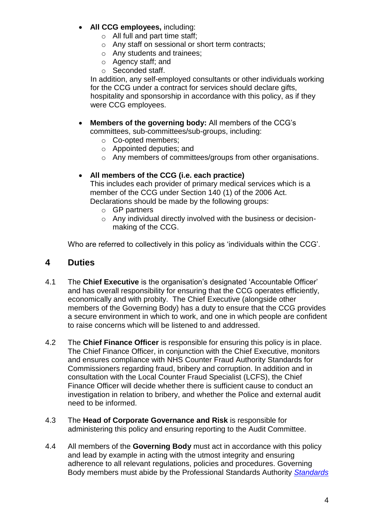- **All CCG employees,** including:
	- o All full and part time staff;
	- o Any staff on sessional or short term contracts;
	- o Any students and trainees;
	- o Agency staff; and
	- o Seconded staff.

In addition, any self-employed consultants or other individuals working for the CCG under a contract for services should declare gifts, hospitality and sponsorship in accordance with this policy, as if they were CCG employees.

- **Members of the governing body:** All members of the CCG's committees, sub-committees/sub-groups, including:
	- o Co-opted members;
	- o Appointed deputies; and
	- o Any members of committees/groups from other organisations.

#### **All members of the CCG (i.e. each practice)**

This includes each provider of primary medical services which is a member of the CCG under Section 140 (1) of the 2006 Act. Declarations should be made by the following groups:

- o GP partners
- o Any individual directly involved with the business or decisionmaking of the CCG.

<span id="page-3-0"></span>Who are referred to collectively in this policy as 'individuals within the CCG'.

#### **4 Duties**

- 4.1 The **Chief Executive** is the organisation's designated 'Accountable Officer' and has overall responsibility for ensuring that the CCG operates efficiently, economically and with probity. The Chief Executive (alongside other members of the Governing Body) has a duty to ensure that the CCG provides a secure environment in which to work, and one in which people are confident to raise concerns which will be listened to and addressed.
- 4.2 The **Chief Finance Officer** is responsible for ensuring this policy is in place. The Chief Finance Officer, in conjunction with the Chief Executive, monitors and ensures compliance with NHS Counter Fraud Authority Standards for Commissioners regarding fraud, bribery and corruption. In addition and in consultation with the Local Counter Fraud Specialist (LCFS), the Chief Finance Officer will decide whether there is sufficient cause to conduct an investigation in relation to bribery, and whether the Police and external audit need to be informed.
- 4.3 The **Head of Corporate Governance and Risk** is responsible for administering this policy and ensuring reporting to the Audit Committee.
- 4.4 All members of the **Governing Body** must act in accordance with this policy and lead by example in acting with the utmost integrity and ensuring adherence to all relevant regulations, policies and procedures. Governing Body members must abide by the Professional Standards Authority *[Standards](http://www.professionalstandards.org.uk/docs/psa-library/november-2012---standards-for-board-members.pdf?sfvrsn=0)*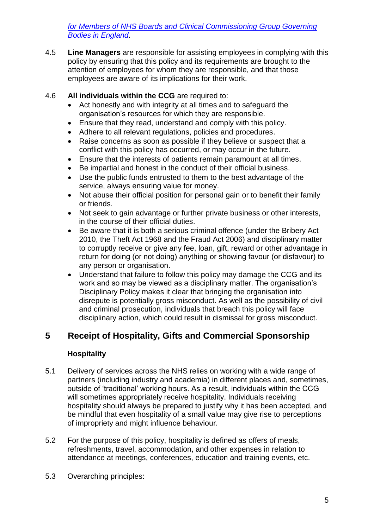*[for Members of NHS Boards and Clinical Commissioning Group Governing](http://www.professionalstandards.org.uk/docs/psa-library/november-2012---standards-for-board-members.pdf?sfvrsn=0)  [Bodies in England.](http://www.professionalstandards.org.uk/docs/psa-library/november-2012---standards-for-board-members.pdf?sfvrsn=0)* 

4.5 **Line Managers** are responsible for assisting employees in complying with this policy by ensuring that this policy and its requirements are brought to the attention of employees for whom they are responsible, and that those employees are aware of its implications for their work.

#### 4.6 **All individuals within the CCG** are required to:

- Act honestly and with integrity at all times and to safeguard the organisation's resources for which they are responsible.
- Ensure that they read, understand and comply with this policy.
- Adhere to all relevant regulations, policies and procedures.
- Raise concerns as soon as possible if they believe or suspect that a conflict with this policy has occurred, or may occur in the future.
- Ensure that the interests of patients remain paramount at all times.
- Be impartial and honest in the conduct of their official business.
- Use the public funds entrusted to them to the best advantage of the service, always ensuring value for money.
- Not abuse their official position for personal gain or to benefit their family or friends.
- Not seek to gain advantage or further private business or other interests, in the course of their official duties.
- Be aware that it is both a serious criminal offence (under the Bribery Act 2010, the Theft Act 1968 and the Fraud Act 2006) and disciplinary matter to corruptly receive or give any fee, loan, gift, reward or other advantage in return for doing (or not doing) anything or showing favour (or disfavour) to any person or organisation.
- Understand that failure to follow this policy may damage the CCG and its work and so may be viewed as a disciplinary matter. The organisation's Disciplinary Policy makes it clear that bringing the organisation into disrepute is potentially gross misconduct. As well as the possibility of civil and criminal prosecution, individuals that breach this policy will face disciplinary action, which could result in dismissal for gross misconduct.

## **5 Receipt of Hospitality, Gifts and Commercial Sponsorship**

#### <span id="page-4-0"></span>**Hospitality**

- 5.1 Delivery of services across the NHS relies on working with a wide range of partners (including industry and academia) in different places and, sometimes, outside of 'traditional' working hours. As a result, individuals within the CCG will sometimes appropriately receive hospitality. Individuals receiving hospitality should always be prepared to justify why it has been accepted, and be mindful that even hospitality of a small value may give rise to perceptions of impropriety and might influence behaviour.
- 5.2 For the purpose of this policy, hospitality is defined as offers of meals, refreshments, travel, accommodation, and other expenses in relation to attendance at meetings, conferences, education and training events, etc.
- 5.3 Overarching principles: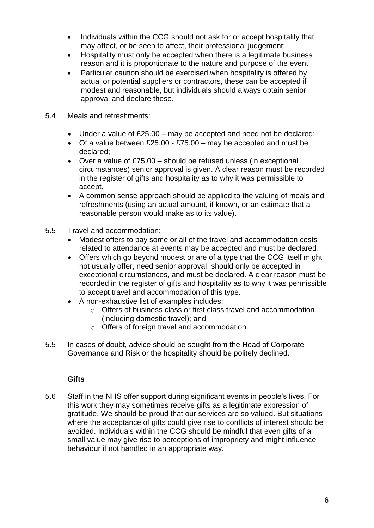- Individuals within the CCG should not ask for or accept hospitality that may affect, or be seen to affect, their professional judgement;
- Hospitality must only be accepted when there is a legitimate business reason and it is proportionate to the nature and purpose of the event;
- Particular caution should be exercised when hospitality is offered by actual or potential suppliers or contractors, these can be accepted if modest and reasonable, but individuals should always obtain senior approval and declare these.
- 5.4 Meals and refreshments:
	- Under a value of £25.00 may be accepted and need not be declared;
	- Of a value between  $£25.00 £75.00 -$  may be accepted and must be declared;
	- Over a value of £75.00 should be refused unless (in exceptional circumstances) senior approval is given. A clear reason must be recorded in the register of gifts and hospitality as to why it was permissible to accept.
	- A common sense approach should be applied to the valuing of meals and refreshments (using an actual amount, if known, or an estimate that a reasonable person would make as to its value).
- 5.5 Travel and accommodation:
	- Modest offers to pay some or all of the travel and accommodation costs related to attendance at events may be accepted and must be declared.
	- Offers which go beyond modest or are of a type that the CCG itself might not usually offer, need senior approval, should only be accepted in exceptional circumstances, and must be declared. A clear reason must be recorded in the register of gifts and hospitality as to why it was permissible to accept travel and accommodation of this type.
	- A non-exhaustive list of examples includes:
		- o Offers of business class or first class travel and accommodation (including domestic travel); and
		- o Offers of foreign travel and accommodation.
- 5.5 In cases of doubt, advice should be sought from the Head of Corporate Governance and Risk or the hospitality should be politely declined.

#### **Gifts**

5.6 Staff in the NHS offer support during significant events in people's lives. For this work they may sometimes receive gifts as a legitimate expression of gratitude. We should be proud that our services are so valued. But situations where the acceptance of gifts could give rise to conflicts of interest should be avoided. Individuals within the CCG should be mindful that even gifts of a small value may give rise to perceptions of impropriety and might influence behaviour if not handled in an appropriate way.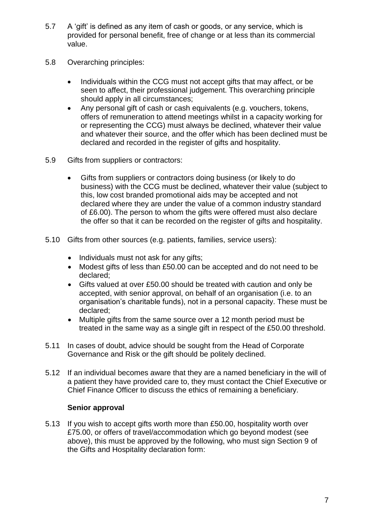- 5.7 A 'gift' is defined as any item of cash or goods, or any service, which is provided for personal benefit, free of change or at less than its commercial value.
- 5.8 Overarching principles:
	- Individuals within the CCG must not accept gifts that may affect, or be seen to affect, their professional judgement. This overarching principle should apply in all circumstances;
	- Any personal gift of cash or cash equivalents (e.g. vouchers, tokens, offers of remuneration to attend meetings whilst in a capacity working for or representing the CCG) must always be declined, whatever their value and whatever their source, and the offer which has been declined must be declared and recorded in the register of gifts and hospitality.
- 5.9 Gifts from suppliers or contractors:
	- Gifts from suppliers or contractors doing business (or likely to do business) with the CCG must be declined, whatever their value (subject to this, low cost branded promotional aids may be accepted and not declared where they are under the value of a common industry standard of £6.00). The person to whom the gifts were offered must also declare the offer so that it can be recorded on the register of gifts and hospitality.
- 5.10 Gifts from other sources (e.g. patients, families, service users):
	- Individuals must not ask for any gifts:
	- Modest gifts of less than £50.00 can be accepted and do not need to be declared;
	- Gifts valued at over £50.00 should be treated with caution and only be accepted, with senior approval, on behalf of an organisation (i.e. to an organisation's charitable funds), not in a personal capacity. These must be declared;
	- Multiple gifts from the same source over a 12 month period must be treated in the same way as a single gift in respect of the £50.00 threshold.
- 5.11 In cases of doubt, advice should be sought from the Head of Corporate Governance and Risk or the gift should be politely declined.
- 5.12 If an individual becomes aware that they are a named beneficiary in the will of a patient they have provided care to, they must contact the Chief Executive or Chief Finance Officer to discuss the ethics of remaining a beneficiary.

#### **Senior approval**

5.13 If you wish to accept gifts worth more than £50.00, hospitality worth over £75.00, or offers of travel/accommodation which go beyond modest (see above), this must be approved by the following, who must sign Section 9 of the Gifts and Hospitality declaration form: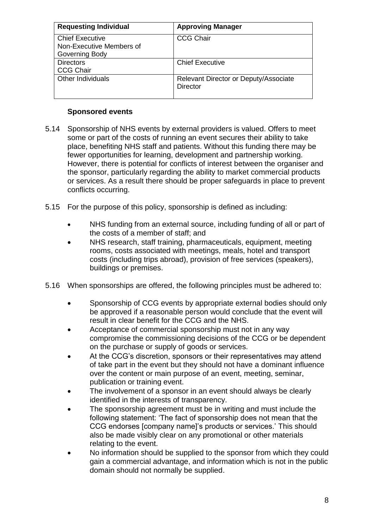| <b>Requesting Individual</b> | <b>Approving Manager</b>                                 |
|------------------------------|----------------------------------------------------------|
| <b>Chief Executive</b>       | <b>CCG Chair</b>                                         |
| Non-Executive Members of     |                                                          |
| Governing Body               |                                                          |
| <b>Directors</b>             | <b>Chief Executive</b>                                   |
| <b>CCG Chair</b>             |                                                          |
| Other Individuals            | Relevant Director or Deputy/Associate<br><b>Director</b> |

#### **Sponsored events**

- 5.14 Sponsorship of NHS events by external providers is valued. Offers to meet some or part of the costs of running an event secures their ability to take place, benefiting NHS staff and patients. Without this funding there may be fewer opportunities for learning, development and partnership working. However, there is potential for conflicts of interest between the organiser and the sponsor, particularly regarding the ability to market commercial products or services. As a result there should be proper safeguards in place to prevent conflicts occurring.
- 5.15 For the purpose of this policy, sponsorship is defined as including:
	- NHS funding from an external source, including funding of all or part of the costs of a member of staff; and
	- NHS research, staff training, pharmaceuticals, equipment, meeting rooms, costs associated with meetings, meals, hotel and transport costs (including trips abroad), provision of free services (speakers), buildings or premises.
- 5.16 When sponsorships are offered, the following principles must be adhered to:
	- Sponsorship of CCG events by appropriate external bodies should only be approved if a reasonable person would conclude that the event will result in clear benefit for the CCG and the NHS.
	- Acceptance of commercial sponsorship must not in any way compromise the commissioning decisions of the CCG or be dependent on the purchase or supply of goods or services.
	- At the CCG's discretion, sponsors or their representatives may attend of take part in the event but they should not have a dominant influence over the content or main purpose of an event, meeting, seminar, publication or training event.
	- The involvement of a sponsor in an event should always be clearly identified in the interests of transparency.
	- The sponsorship agreement must be in writing and must include the following statement: 'The fact of sponsorship does not mean that the CCG endorses [company name]'s products or services.' This should also be made visibly clear on any promotional or other materials relating to the event.
	- No information should be supplied to the sponsor from which they could gain a commercial advantage, and information which is not in the public domain should not normally be supplied.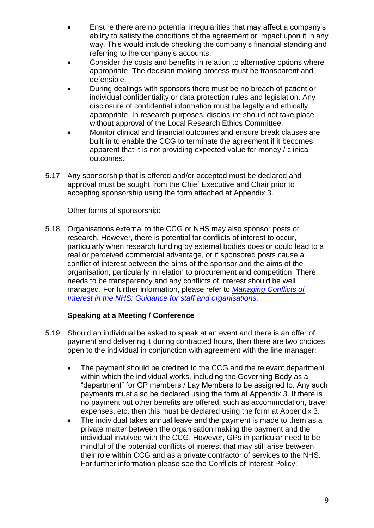- Ensure there are no potential irregularities that may affect a company's ability to satisfy the conditions of the agreement or impact upon it in any way. This would include checking the company's financial standing and referring to the company's accounts.
- Consider the costs and benefits in relation to alternative options where appropriate. The decision making process must be transparent and defensible.
- During dealings with sponsors there must be no breach of patient or individual confidentiality or data protection rules and legislation. Any disclosure of confidential information must be legally and ethically appropriate. In research purposes, disclosure should not take place without approval of the Local Research Ethics Committee.
- Monitor clinical and financial outcomes and ensure break clauses are built in to enable the CCG to terminate the agreement if it becomes apparent that it is not providing expected value for money / clinical outcomes.
- 5.17 Any sponsorship that is offered and/or accepted must be declared and approval must be sought from the Chief Executive and Chair prior to accepting sponsorship using the form attached at Appendix 3.

Other forms of sponsorship:

5.18 Organisations external to the CCG or NHS may also sponsor posts or research. However, there is potential for conflicts of interest to occur, particularly when research funding by external bodies does or could lead to a real or perceived commercial advantage, or if sponsored posts cause a conflict of interest between the aims of the sponsor and the aims of the organisation, particularly in relation to procurement and competition. There needs to be transparency and any conflicts of interest should be well managed. For further information, please refer to *[Managing Conflicts of](https://www.england.nhs.uk/wp-content/uploads/2017/02/guidance-managing-conflicts-of-interest-nhs.pdf)  [Interest in the NHS: Guidance for staff and organisations.](https://www.england.nhs.uk/wp-content/uploads/2017/02/guidance-managing-conflicts-of-interest-nhs.pdf)*

#### **Speaking at a Meeting / Conference**

- 5.19 Should an individual be asked to speak at an event and there is an offer of payment and delivering it during contracted hours, then there are two choices open to the individual in conjunction with agreement with the line manager:
	- The payment should be credited to the CCG and the relevant department within which the individual works, including the Governing Body as a "department" for GP members / Lay Members to be assigned to. Any such payments must also be declared using the form at Appendix 3. If there is no payment but other benefits are offered, such as accommodation, travel expenses, etc. then this must be declared using the form at Appendix 3.
	- The individual takes annual leave and the payment is made to them as a private matter between the organisation making the payment and the individual involved with the CCG. However, GPs in particular need to be mindful of the potential conflicts of interest that may still arise between their role within CCG and as a private contractor of services to the NHS. For further information please see the Conflicts of Interest Policy.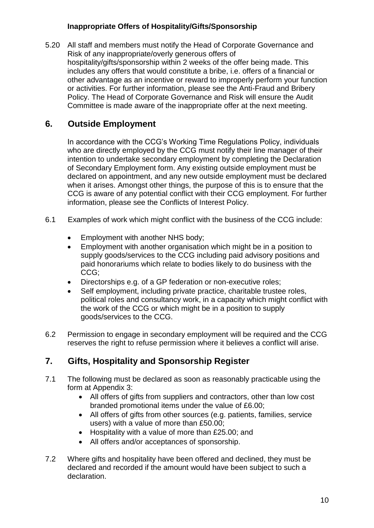#### **Inappropriate Offers of Hospitality/Gifts/Sponsorship**

5.20 All staff and members must notify the Head of Corporate Governance and Risk of any inappropriate/overly generous offers of hospitality/gifts/sponsorship within 2 weeks of the offer being made. This includes any offers that would constitute a bribe, i.e. offers of a financial or other advantage as an incentive or reward to improperly perform your function or activities. For further information, please see the Anti-Fraud and Bribery Policy. The Head of Corporate Governance and Risk will ensure the Audit Committee is made aware of the inappropriate offer at the next meeting.

## <span id="page-9-0"></span>**6. Outside Employment**

In accordance with the CCG's Working Time Regulations Policy, individuals who are directly employed by the CCG must notify their line manager of their intention to undertake secondary employment by completing the Declaration of Secondary Employment form. Any existing outside employment must be declared on appointment, and any new outside employment must be declared when it arises. Amongst other things, the purpose of this is to ensure that the CCG is aware of any potential conflict with their CCG employment. For further information, please see the Conflicts of Interest Policy.

- 6.1 Examples of work which might conflict with the business of the CCG include:
	- Employment with another NHS body;
	- Employment with another organisation which might be in a position to supply goods/services to the CCG including paid advisory positions and paid honorariums which relate to bodies likely to do business with the CCG;
	- Directorships e.g. of a GP federation or non-executive roles;
	- Self employment, including private practice, charitable trustee roles, political roles and consultancy work, in a capacity which might conflict with the work of the CCG or which might be in a position to supply goods/services to the CCG.
- 6.2 Permission to engage in secondary employment will be required and the CCG reserves the right to refuse permission where it believes a conflict will arise.

## <span id="page-9-1"></span>**7. Gifts, Hospitality and Sponsorship Register**

- 7.1 The following must be declared as soon as reasonably practicable using the form at Appendix 3:
	- All offers of gifts from suppliers and contractors, other than low cost branded promotional items under the value of £6.00;
	- All offers of gifts from other sources (e.g. patients, families, service users) with a value of more than £50.00;
	- Hospitality with a value of more than £25.00; and
	- All offers and/or acceptances of sponsorship.
- 7.2 Where gifts and hospitality have been offered and declined, they must be declared and recorded if the amount would have been subject to such a declaration.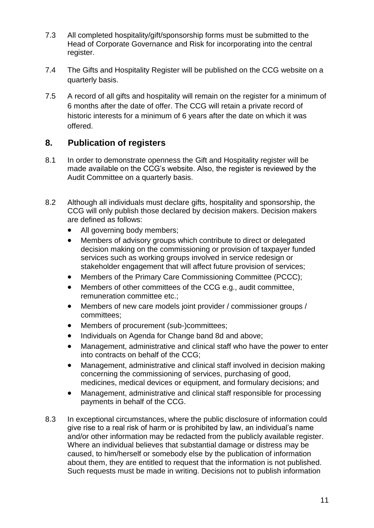- 7.3 All completed hospitality/gift/sponsorship forms must be submitted to the Head of Corporate Governance and Risk for incorporating into the central register.
- 7.4 The Gifts and Hospitality Register will be published on the CCG website on a quarterly basis.
- 7.5 A record of all gifts and hospitality will remain on the register for a minimum of 6 months after the date of offer. The CCG will retain a private record of historic interests for a minimum of 6 years after the date on which it was offered.

## <span id="page-10-0"></span>**8. Publication of registers**

- 8.1 In order to demonstrate openness the Gift and Hospitality register will be made available on the CCG's website. Also, the register is reviewed by the Audit Committee on a quarterly basis.
- 8.2 Although all individuals must declare gifts, hospitality and sponsorship, the CCG will only publish those declared by decision makers. Decision makers are defined as follows:
	- All governing body members:
	- Members of advisory groups which contribute to direct or delegated decision making on the commissioning or provision of taxpayer funded services such as working groups involved in service redesign or stakeholder engagement that will affect future provision of services;
	- Members of the Primary Care Commissioning Committee (PCCC);
	- Members of other committees of the CCG e.g., audit committee, remuneration committee etc.;
	- Members of new care models joint provider / commissioner groups / committees;
	- Members of procurement (sub-)committees;
	- Individuals on Agenda for Change band 8d and above;
	- Management, administrative and clinical staff who have the power to enter into contracts on behalf of the CCG;
	- Management, administrative and clinical staff involved in decision making concerning the commissioning of services, purchasing of good, medicines, medical devices or equipment, and formulary decisions; and
	- Management, administrative and clinical staff responsible for processing payments in behalf of the CCG.
- 8.3 In exceptional circumstances, where the public disclosure of information could give rise to a real risk of harm or is prohibited by law, an individual's name and/or other information may be redacted from the publicly available register. Where an individual believes that substantial damage or distress may be caused, to him/herself or somebody else by the publication of information about them, they are entitled to request that the information is not published. Such requests must be made in writing. Decisions not to publish information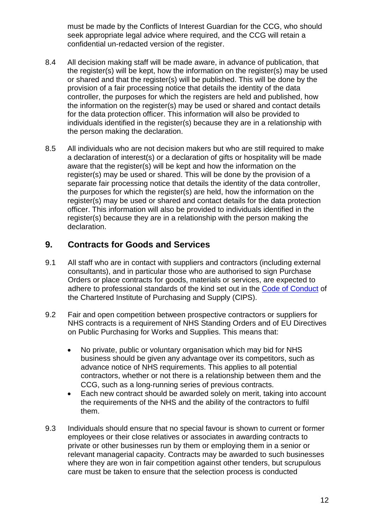must be made by the Conflicts of Interest Guardian for the CCG, who should seek appropriate legal advice where required, and the CCG will retain a confidential un-redacted version of the register.

- 8.4 All decision making staff will be made aware, in advance of publication, that the register(s) will be kept, how the information on the register(s) may be used or shared and that the register(s) will be published. This will be done by the provision of a fair processing notice that details the identity of the data controller, the purposes for which the registers are held and published, how the information on the register(s) may be used or shared and contact details for the data protection officer. This information will also be provided to individuals identified in the register(s) because they are in a relationship with the person making the declaration.
- 8.5 All individuals who are not decision makers but who are still required to make a declaration of interest(s) or a declaration of gifts or hospitality will be made aware that the register(s) will be kept and how the information on the register(s) may be used or shared. This will be done by the provision of a separate fair processing notice that details the identity of the data controller, the purposes for which the register(s) are held, how the information on the register(s) may be used or shared and contact details for the data protection officer. This information will also be provided to individuals identified in the register(s) because they are in a relationship with the person making the declaration.

#### <span id="page-11-0"></span>**9. Contracts for Goods and Services**

- 9.1 All staff who are in contact with suppliers and contractors (including external consultants), and in particular those who are authorised to sign Purchase Orders or place contracts for goods, materials or services, are expected to adhere to professional standards of the kind set out in the [Code of Conduct](http://www.cips.org/Documents/About%20CIPS/CIPS_Code_of_conductv2_10_9_2013.pdf) of the Chartered Institute of Purchasing and Supply (CIPS).
- 9.2 Fair and open competition between prospective contractors or suppliers for NHS contracts is a requirement of NHS Standing Orders and of EU Directives on Public Purchasing for Works and Supplies. This means that:
	- No private, public or voluntary organisation which may bid for NHS business should be given any advantage over its competitors, such as advance notice of NHS requirements. This applies to all potential contractors, whether or not there is a relationship between them and the CCG, such as a long‐running series of previous contracts.
	- Each new contract should be awarded solely on merit, taking into account the requirements of the NHS and the ability of the contractors to fulfil them.
- 9.3 Individuals should ensure that no special favour is shown to current or former employees or their close relatives or associates in awarding contracts to private or other businesses run by them or employing them in a senior or relevant managerial capacity. Contracts may be awarded to such businesses where they are won in fair competition against other tenders, but scrupulous care must be taken to ensure that the selection process is conducted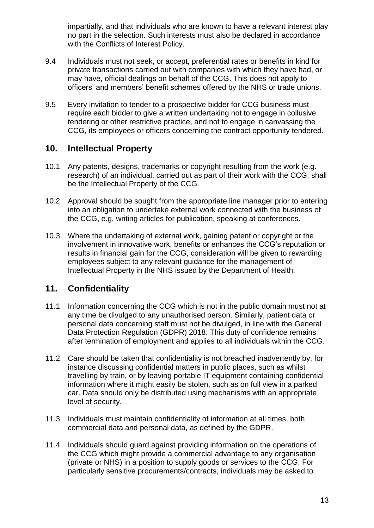impartially, and that individuals who are known to have a relevant interest play no part in the selection. Such interests must also be declared in accordance with the Conflicts of Interest Policy.

- 9.4 Individuals must not seek, or accept, preferential rates or benefits in kind for private transactions carried out with companies with which they have had, or may have, official dealings on behalf of the CCG. This does not apply to officers' and members' benefit schemes offered by the NHS or trade unions.
- 9.5 Every invitation to tender to a prospective bidder for CCG business must require each bidder to give a written undertaking not to engage in collusive tendering or other restrictive practice, and not to engage in canvassing the CCG, its employees or officers concerning the contract opportunity tendered.

#### <span id="page-12-0"></span>**10. Intellectual Property**

- 10.1 Any patents, designs, trademarks or copyright resulting from the work (e.g. research) of an individual, carried out as part of their work with the CCG, shall be the Intellectual Property of the CCG.
- 10.2 Approval should be sought from the appropriate line manager prior to entering into an obligation to undertake external work connected with the business of the CCG, e.g. writing articles for publication, speaking at conferences.
- 10.3 Where the undertaking of external work, gaining patent or copyright or the involvement in innovative work, benefits or enhances the CCG's reputation or results in financial gain for the CCG, consideration will be given to rewarding employees subject to any relevant guidance for the management of Intellectual Property in the NHS issued by the Department of Health.

## <span id="page-12-1"></span>**11. Confidentiality**

- 11.1 Information concerning the CCG which is not in the public domain must not at any time be divulged to any unauthorised person. Similarly, patient data or personal data concerning staff must not be divulged, in line with the General Data Protection Regulation (GDPR) 2018. This duty of confidence remains after termination of employment and applies to all individuals within the CCG.
- 11.2 Care should be taken that confidentiality is not breached inadvertently by, for instance discussing confidential matters in public places, such as whilst travelling by train, or by leaving portable IT equipment containing confidential information where it might easily be stolen, such as on full view in a parked car. Data should only be distributed using mechanisms with an appropriate level of security.
- 11.3 Individuals must maintain confidentiality of information at all times, both commercial data and personal data, as defined by the GDPR.
- 11.4 Individuals should guard against providing information on the operations of the CCG which might provide a commercial advantage to any organisation (private or NHS) in a position to supply goods or services to the CCG. For particularly sensitive procurements/contracts, individuals may be asked to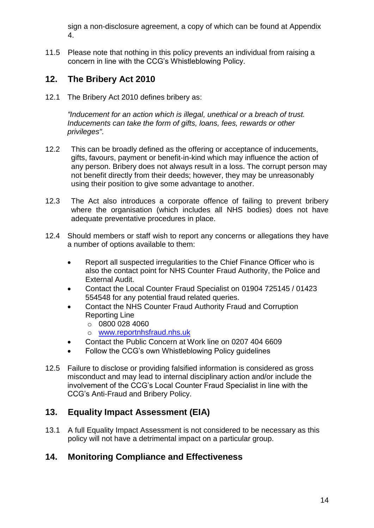sign a non-disclosure agreement, a copy of which can be found at Appendix 4.

11.5 Please note that nothing in this policy prevents an individual from raising a concern in line with the CCG's Whistleblowing Policy.

## <span id="page-13-0"></span>**12. The Bribery Act 2010**

12.1 The Bribery Act 2010 defines bribery as:

*"Inducement for an action which is illegal, unethical or a breach of trust. Inducements can take the form of gifts, loans, fees, rewards or other privileges".* 

- 12.2 This can be broadly defined as the offering or acceptance of inducements, gifts, favours, payment or benefit-in-kind which may influence the action of any person. Bribery does not always result in a loss. The corrupt person may not benefit directly from their deeds; however, they may be unreasonably using their position to give some advantage to another.
- 12.3 The Act also introduces a corporate offence of failing to prevent bribery where the organisation (which includes all NHS bodies) does not have adequate preventative procedures in place.
- 12.4 Should members or staff wish to report any concerns or allegations they have a number of options available to them:
	- Report all suspected irregularities to the Chief Finance Officer who is also the contact point for NHS Counter Fraud Authority, the Police and External Audit.
	- Contact the Local Counter Fraud Specialist on 01904 725145 / 01423 554548 for any potential fraud related queries.
	- Contact the NHS Counter Fraud Authority Fraud and Corruption Reporting Line
		- $\circ$  0800 028 4060
		- o [www.reportnhsfraud.nhs.uk](http://www.reportnhsfraud.nhs.uk/)
	- Contact the Public Concern at Work line on 0207 404 6609
	- Follow the CCG's own Whistleblowing Policy guidelines
- 12.5 Failure to disclose or providing falsified information is considered as gross misconduct and may lead to internal disciplinary action and/or include the involvement of the CCG's Local Counter Fraud Specialist in line with the CCG's Anti-Fraud and Bribery Policy.

## <span id="page-13-1"></span>**13. Equality Impact Assessment (EIA)**

13.1 A full Equality Impact Assessment is not considered to be necessary as this policy will not have a detrimental impact on a particular group.

## <span id="page-13-2"></span>**14. Monitoring Compliance and Effectiveness**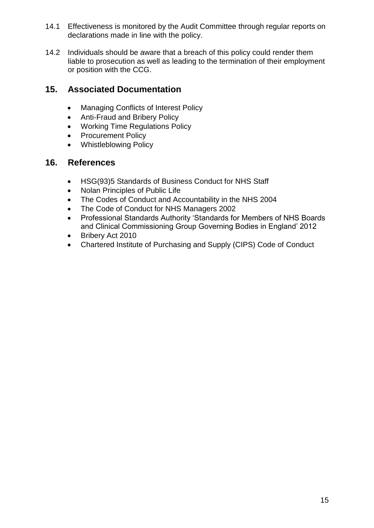- 14.1 Effectiveness is monitored by the Audit Committee through regular reports on declarations made in line with the policy.
- 14.2 Individuals should be aware that a breach of this policy could render them liable to prosecution as well as leading to the termination of their employment or position with the CCG.

## <span id="page-14-0"></span>**15. Associated Documentation**

- Managing Conflicts of Interest Policy
- Anti-Fraud and Bribery Policy
- Working Time Regulations Policy
- Procurement Policy
- Whistleblowing Policy

#### <span id="page-14-1"></span>**16. References**

- HSG(93)5 Standards of Business Conduct for NHS Staff
- Nolan Principles of Public Life
- The Codes of Conduct and Accountability in the NHS 2004
- The Code of Conduct for NHS Managers 2002
- Professional Standards Authority 'Standards for Members of NHS Boards and Clinical Commissioning Group Governing Bodies in England' 2012
- Bribery Act 2010
- <span id="page-14-2"></span>Chartered Institute of Purchasing and Supply (CIPS) Code of Conduct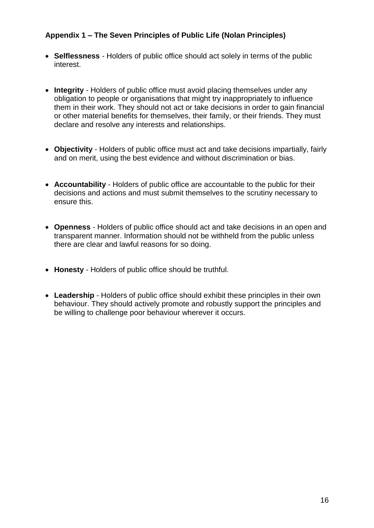#### **Appendix 1 – The Seven Principles of Public Life (Nolan Principles)**

- **Selflessness** Holders of public office should act solely in terms of the public interest.
- **Integrity** Holders of public office must avoid placing themselves under any obligation to people or organisations that might try inappropriately to influence them in their work. They should not act or take decisions in order to gain financial or other material benefits for themselves, their family, or their friends. They must declare and resolve any interests and relationships.
- **Objectivity** Holders of public office must act and take decisions impartially, fairly and on merit, using the best evidence and without discrimination or bias.
- **Accountability** Holders of public office are accountable to the public for their decisions and actions and must submit themselves to the scrutiny necessary to ensure this.
- **Openness** Holders of public office should act and take decisions in an open and transparent manner. Information should not be withheld from the public unless there are clear and lawful reasons for so doing.
- **Honesty** Holders of public office should be truthful.
- **Leadership** Holders of public office should exhibit these principles in their own behaviour. They should actively promote and robustly support the principles and be willing to challenge poor behaviour wherever it occurs.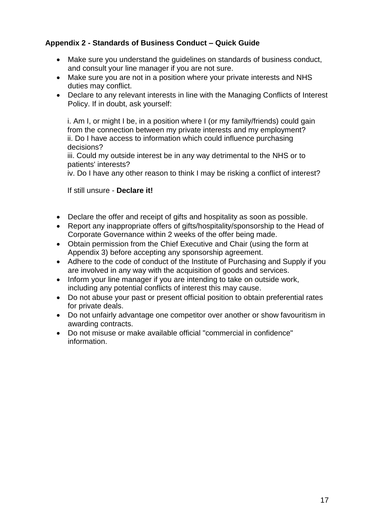#### <span id="page-16-0"></span>**Appendix 2 - Standards of Business Conduct – Quick Guide**

- Make sure you understand the guidelines on standards of business conduct, and consult your line manager if you are not sure.
- Make sure you are not in a position where your private interests and NHS duties may conflict.
- Declare to any relevant interests in line with the Managing Conflicts of Interest Policy. If in doubt, ask yourself:

i. Am I, or might I be, in a position where I (or my family/friends) could gain from the connection between my private interests and my employment? ii. Do I have access to information which could influence purchasing decisions?

iii. Could my outside interest be in any way detrimental to the NHS or to patients' interests?

iv. Do I have any other reason to think I may be risking a conflict of interest?

If still unsure - **Declare it!**

- Declare the offer and receipt of gifts and hospitality as soon as possible.
- Report any inappropriate offers of gifts/hospitality/sponsorship to the Head of Corporate Governance within 2 weeks of the offer being made.
- Obtain permission from the Chief Executive and Chair (using the form at Appendix 3) before accepting any sponsorship agreement.
- Adhere to the code of conduct of the Institute of Purchasing and Supply if you are involved in any way with the acquisition of goods and services.
- Inform your line manager if you are intending to take on outside work, including any potential conflicts of interest this may cause.
- Do not abuse your past or present official position to obtain preferential rates for private deals.
- Do not unfairly advantage one competitor over another or show favouritism in awarding contracts.
- Do not misuse or make available official "commercial in confidence" information.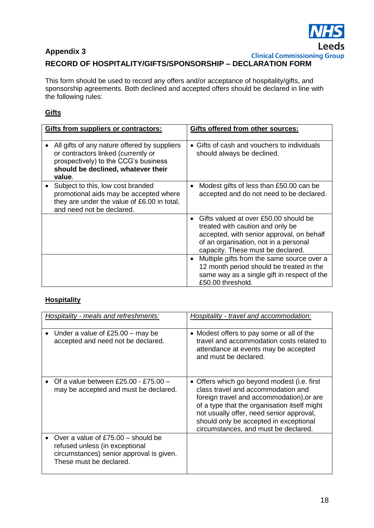

## <span id="page-17-0"></span>**Appendix 3 RECORD OF HOSPITALITY/GIFTS/SPONSORSHIP – DECLARATION FORM**

This form should be used to record any offers and/or acceptance of hospitality/gifts, and sponsorship agreements. Both declined and accepted offers should be declared in line with the following rules:

#### **Gifts**

| Gifts from suppliers or contractors:                                                                                                                                        | Gifts offered from other sources:                                                                                                                                                                    |
|-----------------------------------------------------------------------------------------------------------------------------------------------------------------------------|------------------------------------------------------------------------------------------------------------------------------------------------------------------------------------------------------|
|                                                                                                                                                                             |                                                                                                                                                                                                      |
| All gifts of any nature offered by suppliers<br>or contractors linked (currently or<br>prospectively) to the CCG's business<br>should be declined, whatever their<br>value. | $\bullet$ Gifts of cash and vouchers to individuals<br>should always be declined.                                                                                                                    |
| Subject to this, low cost branded<br>promotional aids may be accepted where<br>they are under the value of £6.00 in total,<br>and need not be declared.                     | Modest gifts of less than £50.00 can be<br>accepted and do not need to be declared.                                                                                                                  |
|                                                                                                                                                                             | Gifts valued at over £50.00 should be<br>treated with caution and only be<br>accepted, with senior approval, on behalf<br>of an organisation, not in a personal<br>capacity. These must be declared. |
|                                                                                                                                                                             | Multiple gifts from the same source over a<br>12 month period should be treated in the<br>same way as a single gift in respect of the<br>£50.00 threshold.                                           |

#### **Hospitality**

| Hospitality - meals and refreshments:                                                                                                         | Hospitality - travel and accommodation:                                                                                                                                                                                                                                                                      |  |
|-----------------------------------------------------------------------------------------------------------------------------------------------|--------------------------------------------------------------------------------------------------------------------------------------------------------------------------------------------------------------------------------------------------------------------------------------------------------------|--|
| Under a value of $£25.00 -$ may be<br>accepted and need not be declared.                                                                      | • Modest offers to pay some or all of the<br>travel and accommodation costs related to<br>attendance at events may be accepted<br>and must be declared.                                                                                                                                                      |  |
| Of a value between £25.00 - £75.00 -<br>may be accepted and must be declared.                                                                 | • Offers which go beyond modest (i.e. first<br>class travel and accommodation and<br>foreign travel and accommodation), or are<br>of a type that the organisation itself might<br>not usually offer, need senior approval,<br>should only be accepted in exceptional<br>circumstances, and must be declared. |  |
| Over a value of $£75.00 -$ should be<br>refused unless (in exceptional<br>circumstances) senior approval is given.<br>These must be declared. |                                                                                                                                                                                                                                                                                                              |  |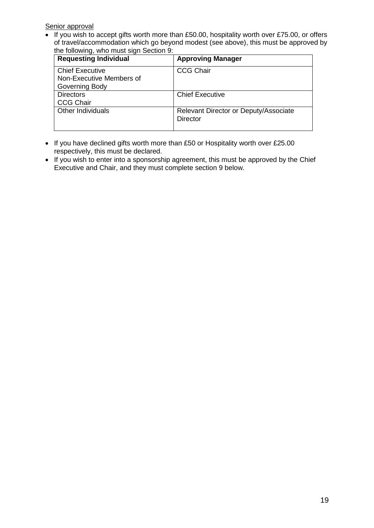Senior approval

 $\overline{\bullet}$  If you wish to accept gifts worth more than £50.00, hospitality worth over £75.00, or offers of travel/accommodation which go beyond modest (see above), this must be approved by the following, who must sign Section 9:

| <b>Requesting Individual</b> | <b>Approving Manager</b>                                 |
|------------------------------|----------------------------------------------------------|
| <b>Chief Executive</b>       | <b>CCG Chair</b>                                         |
| Non-Executive Members of     |                                                          |
| Governing Body               |                                                          |
| <b>Directors</b>             | <b>Chief Executive</b>                                   |
| <b>CCG Chair</b>             |                                                          |
| <b>Other Individuals</b>     | Relevant Director or Deputy/Associate<br><b>Director</b> |

- If you have declined gifts worth more than £50 or Hospitality worth over £25.00 respectively, this must be declared.
- If you wish to enter into a sponsorship agreement, this must be approved by the Chief Executive and Chair, and they must complete section 9 below.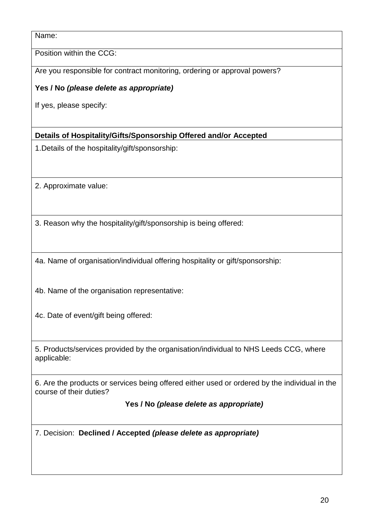Name:

Position within the CCG:

Are you responsible for contract monitoring, ordering or approval powers?

**Yes / No** *(please delete as appropriate)*

If yes, please specify:

**Details of Hospitality/Gifts/Sponsorship Offered and/or Accepted**

1.Details of the hospitality/gift/sponsorship:

2. Approximate value:

3. Reason why the hospitality/gift/sponsorship is being offered:

4a. Name of organisation/individual offering hospitality or gift/sponsorship:

4b. Name of the organisation representative:

4c. Date of event/gift being offered:

5. Products/services provided by the organisation/individual to NHS Leeds CCG, where applicable:

6. Are the products or services being offered either used or ordered by the individual in the course of their duties?

 **Yes / No** *(please delete as appropriate)*

7. Decision: **Declined / Accepted** *(please delete as appropriate)*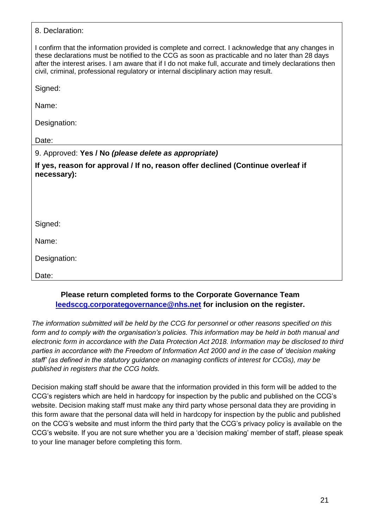| 8. Declaration:                                                                                                                                                                                                                                                                                                                                                                                          |
|----------------------------------------------------------------------------------------------------------------------------------------------------------------------------------------------------------------------------------------------------------------------------------------------------------------------------------------------------------------------------------------------------------|
| I confirm that the information provided is complete and correct. I acknowledge that any changes in<br>these declarations must be notified to the CCG as soon as practicable and no later than 28 days<br>after the interest arises. I am aware that if I do not make full, accurate and timely declarations then<br>civil, criminal, professional regulatory or internal disciplinary action may result. |
| Signed:                                                                                                                                                                                                                                                                                                                                                                                                  |
| Name:                                                                                                                                                                                                                                                                                                                                                                                                    |
| Designation:                                                                                                                                                                                                                                                                                                                                                                                             |
| Date:                                                                                                                                                                                                                                                                                                                                                                                                    |
| 9. Approved: Yes / No (please delete as appropriate)                                                                                                                                                                                                                                                                                                                                                     |
| If yes, reason for approval / If no, reason offer declined (Continue overleaf if<br>necessary):                                                                                                                                                                                                                                                                                                          |
|                                                                                                                                                                                                                                                                                                                                                                                                          |
|                                                                                                                                                                                                                                                                                                                                                                                                          |
| Signed:                                                                                                                                                                                                                                                                                                                                                                                                  |
| Name:                                                                                                                                                                                                                                                                                                                                                                                                    |
| Designation:                                                                                                                                                                                                                                                                                                                                                                                             |
| Date:                                                                                                                                                                                                                                                                                                                                                                                                    |

#### **Please return completed forms to the Corporate Governance Team [leedsccg.corporategovernance@nhs.net](mailto:leedsccg.corporategovernance@nhs.net) for inclusion on the register.**

*The information submitted will be held by the CCG for personnel or other reasons specified on this form and to comply with the organisation's policies. This information may be held in both manual and electronic form in accordance with the Data Protection Act 2018. Information may be disclosed to third parties in accordance with the Freedom of Information Act 2000 and in the case of 'decision making staff' (as defined in the statutory guidance on managing conflicts of interest for CCGs), may be published in registers that the CCG holds.*

<span id="page-20-0"></span>Decision making staff should be aware that the information provided in this form will be added to the CCG's registers which are held in hardcopy for inspection by the public and published on the CCG's website. Decision making staff must make any third party whose personal data they are providing in this form aware that the personal data will held in hardcopy for inspection by the public and published on the CCG's website and must inform the third party that the CCG's privacy policy is available on the CCG's website. If you are not sure whether you are a 'decision making' member of staff, please speak to your line manager before completing this form.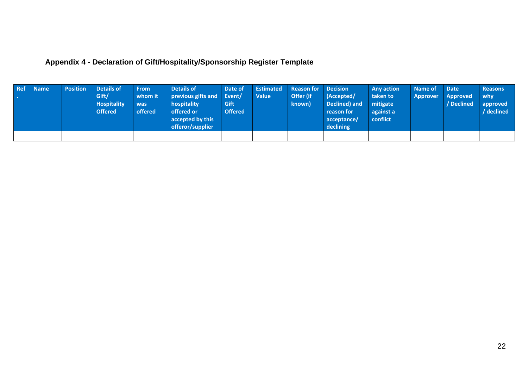## **Appendix 4 - Declaration of Gift/Hospitality/Sponsorship Register Template**

| Ref | Mame <sup>1</sup> | <b>Position</b> | <b>Details of</b><br>Gift/<br><b>Hospitality</b><br><b>Offered</b> | <b>From</b><br>whom it<br>was<br>offered | Details of<br>previous gifts and Event/<br>hospitality<br>offered or<br>accepted by this<br>offeror/supplier | Date of<br>Gift<br><b>Offered</b> | <b>Estimated</b><br><b>Value</b> | <b>Reason for</b><br>Offer (if<br>known) | <b>Decision</b><br>(Accepted/<br>Declined) and<br>reason for<br>acceptance/<br>declining | <b>Any action</b><br>taken to<br>mitigate<br>against a<br>conflict | Name of<br>Approver | Date<br><b>Approved</b><br>/ Declined | <b>Reasons</b><br>why<br>approved<br>/ declined |
|-----|-------------------|-----------------|--------------------------------------------------------------------|------------------------------------------|--------------------------------------------------------------------------------------------------------------|-----------------------------------|----------------------------------|------------------------------------------|------------------------------------------------------------------------------------------|--------------------------------------------------------------------|---------------------|---------------------------------------|-------------------------------------------------|
|     |                   |                 |                                                                    |                                          |                                                                                                              |                                   |                                  |                                          |                                                                                          |                                                                    |                     |                                       |                                                 |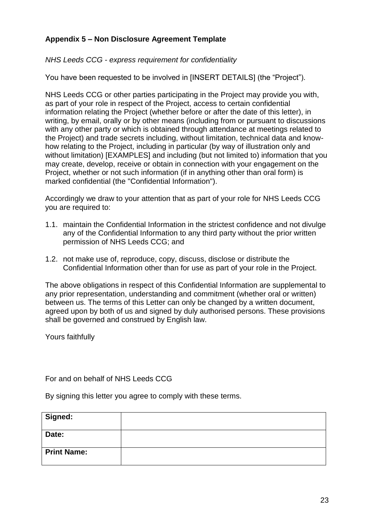#### **Appendix 5 – Non Disclosure Agreement Template**

*NHS Leeds CCG - express requirement for confidentiality* 

You have been requested to be involved in [INSERT DETAILS] (the "Project").

NHS Leeds CCG or other parties participating in the Project may provide you with, as part of your role in respect of the Project, access to certain confidential information relating the Project (whether before or after the date of this letter), in writing, by email, orally or by other means (including from or pursuant to discussions with any other party or which is obtained through attendance at meetings related to the Project) and trade secrets including, without limitation, technical data and knowhow relating to the Project, including in particular (by way of illustration only and without limitation) [EXAMPLES] and including (but not limited to) information that you may create, develop, receive or obtain in connection with your engagement on the Project, whether or not such information (if in anything other than oral form) is marked confidential (the "Confidential Information").

Accordingly we draw to your attention that as part of your role for NHS Leeds CCG you are required to:

- 1.1. maintain the Confidential Information in the strictest confidence and not divulge any of the Confidential Information to any third party without the prior written permission of NHS Leeds CCG; and
- 1.2. not make use of, reproduce, copy, discuss, disclose or distribute the Confidential Information other than for use as part of your role in the Project.

The above obligations in respect of this Confidential Information are supplemental to any prior representation, understanding and commitment (whether oral or written) between us. The terms of this Letter can only be changed by a written document, agreed upon by both of us and signed by duly authorised persons. These provisions shall be governed and construed by English law.

Yours faithfully

For and on behalf of NHS Leeds CCG

By signing this letter you agree to comply with these terms.

| Signed:            |  |
|--------------------|--|
| Date:              |  |
| <b>Print Name:</b> |  |